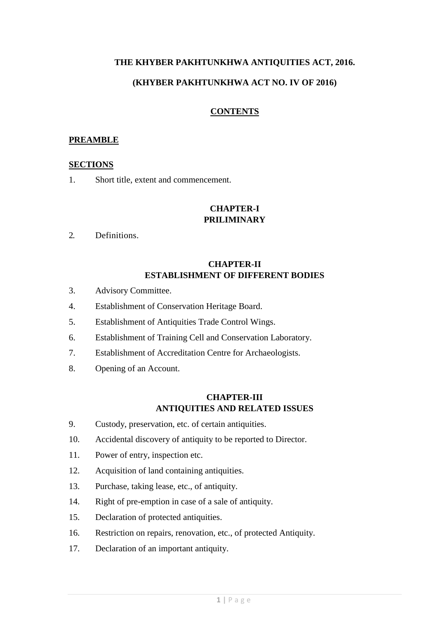## **THE KHYBER PAKHTUNKHWA ANTIQUITIES ACT, 2016.**

### **(KHYBER PAKHTUNKHWA ACT NO. IV OF 2016)**

### **CONTENTS**

#### **PREAMBLE**

#### **SECTIONS**

1. Short title, extent and commencement.

## **CHAPTER-I PRILIMINARY**

2. Definitions.

## **CHAPTER-II ESTABLISHMENT OF DIFFERENT BODIES**

- 3. Advisory Committee.
- 4. Establishment of Conservation Heritage Board.
- 5. Establishment of Antiquities Trade Control Wings.
- 6. Establishment of Training Cell and Conservation Laboratory.
- 7. Establishment of Accreditation Centre for Archaeologists.
- 8. Opening of an Account.

## **CHAPTER-III ANTIQUITIES AND RELATED ISSUES**

- 9. Custody, preservation, etc. of certain antiquities.
- 10. Accidental discovery of antiquity to be reported to Director.
- 11. Power of entry, inspection etc.
- 12. Acquisition of land containing antiquities.
- 13. Purchase, taking lease, etc., of antiquity.
- 14. Right of pre-emption in case of a sale of antiquity.
- 15. Declaration of protected antiquities.
- 16. Restriction on repairs, renovation, etc., of protected Antiquity.
- 17. Declaration of an important antiquity.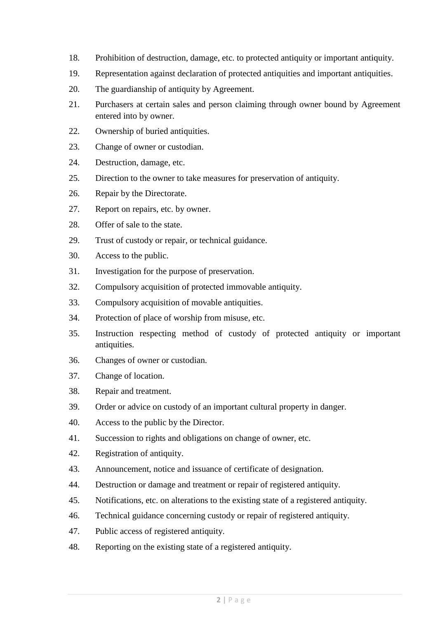- 18. Prohibition of destruction, damage, etc. to protected antiquity or important antiquity.
- 19. Representation against declaration of protected antiquities and important antiquities.
- 20. The guardianship of antiquity by Agreement.
- 21. Purchasers at certain sales and person claiming through owner bound by Agreement entered into by owner.
- 22. Ownership of buried antiquities.
- 23. Change of owner or custodian.
- 24. Destruction, damage, etc.
- 25. Direction to the owner to take measures for preservation of antiquity.
- 26. Repair by the Directorate.
- 27. Report on repairs, etc. by owner.
- 28. Offer of sale to the state.
- 29. Trust of custody or repair, or technical guidance.
- 30. Access to the public.
- 31. Investigation for the purpose of preservation.
- 32. Compulsory acquisition of protected immovable antiquity.
- 33. Compulsory acquisition of movable antiquities.
- 34. Protection of place of worship from misuse, etc.
- 35. Instruction respecting method of custody of protected antiquity or important antiquities.
- 36. Changes of owner or custodian.
- 37. Change of location.
- 38. Repair and treatment.
- 39. Order or advice on custody of an important cultural property in danger.
- 40. Access to the public by the Director.
- 41. Succession to rights and obligations on change of owner, etc.
- 42. Registration of antiquity.
- 43. Announcement, notice and issuance of certificate of designation.
- 44. Destruction or damage and treatment or repair of registered antiquity.
- 45. Notifications, etc. on alterations to the existing state of a registered antiquity.
- 46. Technical guidance concerning custody or repair of registered antiquity.
- 47. Public access of registered antiquity.
- 48. Reporting on the existing state of a registered antiquity.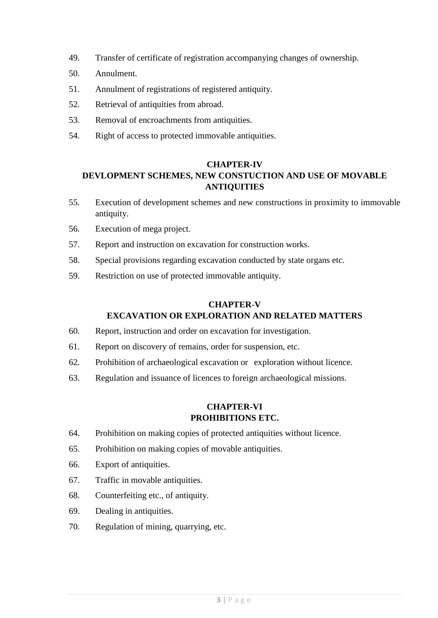- 49. Transfer of certificate of registration accompanying changes of ownership.
- 50. Annulment.
- 51. Annulment of registrations of registered antiquity.
- 52. Retrieval of antiquities from abroad.
- 53. Removal of encroachments from antiquities.
- 54. Right of access to protected immovable antiquities.

## **CHAPTER-IV**

# **DEVLOPMENT SCHEMES, NEW CONSTUCTION AND USE OF MOVABLE ANTIQUITIES**

- 55. Execution of development schemes and new constructions in proximity to immovable antiquity.
- 56. Execution of mega project.
- 57. Report and instruction on excavation for construction works.
- 58. Special provisions regarding excavation conducted by state organs etc.
- 59. Restriction on use of protected immovable antiquity.

## **CHAPTER-V EXCAVATION OR EXPLORATION AND RELATED MATTERS**

- 60. Report, instruction and order on excavation for investigation.
- 61. Report on discovery of remains, order for suspension, etc.
- 62. Prohibition of archaeological excavation or exploration without licence.
- 63. Regulation and issuance of licences to foreign archaeological missions.

## **CHAPTER-VI PROHIBITIONS ETC.**

- 64. Prohibition on making copies of protected antiquities without licence.
- 65. Prohibition on making copies of movable antiquities.
- 66. Export of antiquities.
- 67. Traffic in movable antiquities.
- 68. Counterfeiting etc., of antiquity.
- 69. Dealing in antiquities.
- 70. Regulation of mining, quarrying, etc.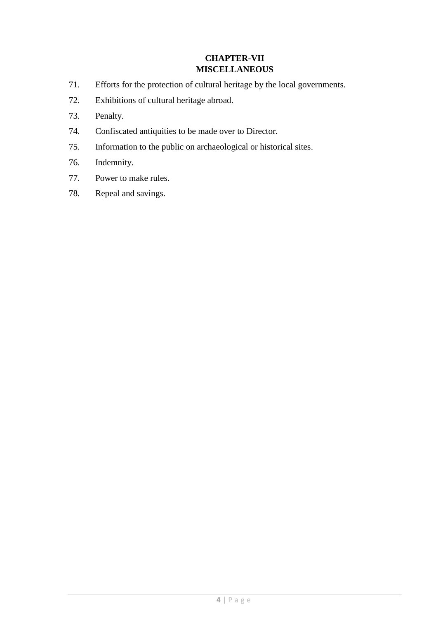## **CHAPTER-VII MISCELLANEOUS**

- 71. Efforts for the protection of cultural heritage by the local governments.
- 72. Exhibitions of cultural heritage abroad.
- 73. Penalty.
- 74. Confiscated antiquities to be made over to Director.
- 75. Information to the public on archaeological or historical sites.
- 76. Indemnity.
- 77. Power to make rules.
- 78. Repeal and savings.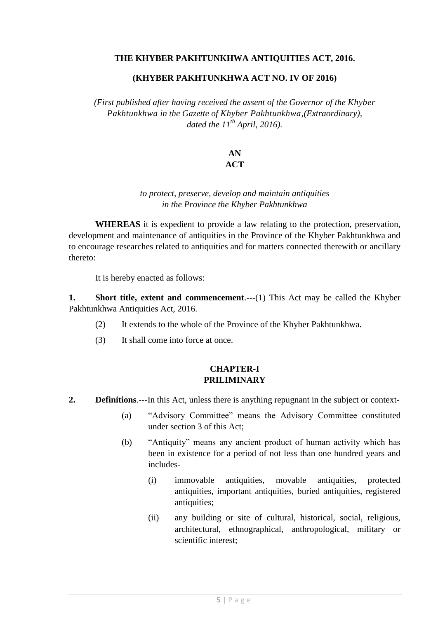### **THE KHYBER PAKHTUNKHWA ANTIQUITIES ACT, 2016.**

#### **(KHYBER PAKHTUNKHWA ACT NO. IV OF 2016)**

*(First published after having received the assent of the Governor of the Khyber Pakhtunkhwa in the Gazette of Khyber Pakhtunkhwa,(Extraordinary), dated the 11th April, 2016).*

# **AN**

## **ACT**

## *to protect, preserve, develop and maintain antiquities in the Province the Khyber Pakhtunkhwa*

**WHEREAS** it is expedient to provide a law relating to the protection, preservation, development and maintenance of antiquities in the Province of the Khyber Pakhtunkhwa and to encourage researches related to antiquities and for matters connected therewith or ancillary thereto:

It is hereby enacted as follows:

**1. Short title, extent and commencement**.---(1) This Act may be called the Khyber Pakhtunkhwa Antiquities Act, 2016.

- (2) It extends to the whole of the Province of the Khyber Pakhtunkhwa.
- (3) It shall come into force at once.

## **CHAPTER-I PRILIMINARY**

- **2. Definitions**.---In this Act, unless there is anything repugnant in the subject or context-
	- (a) "Advisory Committee" means the Advisory Committee constituted under section 3 of this Act;
	- (b) "Antiquity" means any ancient product of human activity which has been in existence for a period of not less than one hundred years and includes-
		- (i) immovable antiquities, movable antiquities, protected antiquities, important antiquities, buried antiquities, registered antiquities;
		- (ii) any building or site of cultural, historical, social, religious, architectural, ethnographical, anthropological, military or scientific interest;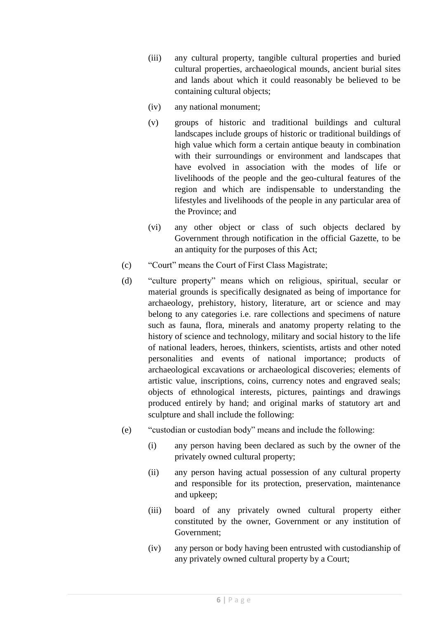- (iii) any cultural property, tangible cultural properties and buried cultural properties, archaeological mounds, ancient burial sites and lands about which it could reasonably be believed to be containing cultural objects;
- (iv) any national monument;
- (v) groups of historic and traditional buildings and cultural landscapes include groups of historic or traditional buildings of high value which form a certain antique beauty in combination with their surroundings or environment and landscapes that have evolved in association with the modes of life or livelihoods of the people and the geo-cultural features of the region and which are indispensable to understanding the lifestyles and livelihoods of the people in any particular area of the Province; and
- (vi) any other object or class of such objects declared by Government through notification in the official Gazette, to be an antiquity for the purposes of this Act;
- (c) "Court" means the Court of First Class Magistrate;
- (d) "culture property" means which on religious, spiritual, secular or material grounds is specifically designated as being of importance for archaeology, prehistory, history, literature, art or science and may belong to any categories i.e. rare collections and specimens of nature such as fauna, flora, minerals and anatomy property relating to the history of science and technology, military and social history to the life of national leaders, heroes, thinkers, scientists, artists and other noted personalities and events of national importance; products of archaeological excavations or archaeological discoveries; elements of artistic value, inscriptions, coins, currency notes and engraved seals; objects of ethnological interests, pictures, paintings and drawings produced entirely by hand; and original marks of statutory art and sculpture and shall include the following:
- (e) "custodian or custodian body" means and include the following:
	- (i) any person having been declared as such by the owner of the privately owned cultural property;
	- (ii) any person having actual possession of any cultural property and responsible for its protection, preservation, maintenance and upkeep;
	- (iii) board of any privately owned cultural property either constituted by the owner, Government or any institution of Government;
	- (iv) any person or body having been entrusted with custodianship of any privately owned cultural property by a Court;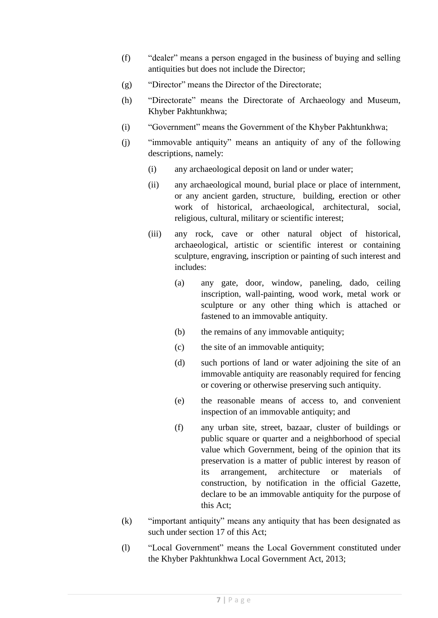- (f) "dealer" means a person engaged in the business of buying and selling antiquities but does not include the Director;
- (g) "Director" means the Director of the Directorate;
- (h) "Directorate" means the Directorate of Archaeology and Museum, Khyber Pakhtunkhwa;
- (i) "Government" means the Government of the Khyber Pakhtunkhwa;
- (j) "immovable antiquity" means an antiquity of any of the following descriptions, namely:
	- (i) any archaeological deposit on land or under water;
	- (ii) any archaeological mound, burial place or place of internment, or any ancient garden, structure, building, erection or other work of historical, archaeological, architectural, social, religious, cultural, military or scientific interest;
	- (iii) any rock, cave or other natural object of historical, archaeological, artistic or scientific interest or containing sculpture, engraving, inscription or painting of such interest and includes:
		- (a) any gate, door, window, paneling, dado, ceiling inscription, wall-painting, wood work, metal work or sculpture or any other thing which is attached or fastened to an immovable antiquity.
		- (b) the remains of any immovable antiquity;
		- (c) the site of an immovable antiquity;
		- (d) such portions of land or water adjoining the site of an immovable antiquity are reasonably required for fencing or covering or otherwise preserving such antiquity.
		- (e) the reasonable means of access to, and convenient inspection of an immovable antiquity; and
		- (f) any urban site, street, bazaar, cluster of buildings or public square or quarter and a neighborhood of special value which Government, being of the opinion that its preservation is a matter of public interest by reason of its arrangement, architecture or materials of construction, by notification in the official Gazette, declare to be an immovable antiquity for the purpose of this Act;
- (k) "important antiquity" means any antiquity that has been designated as such under section 17 of this Act;
- (l) "Local Government" means the Local Government constituted under the Khyber Pakhtunkhwa Local Government Act, 2013;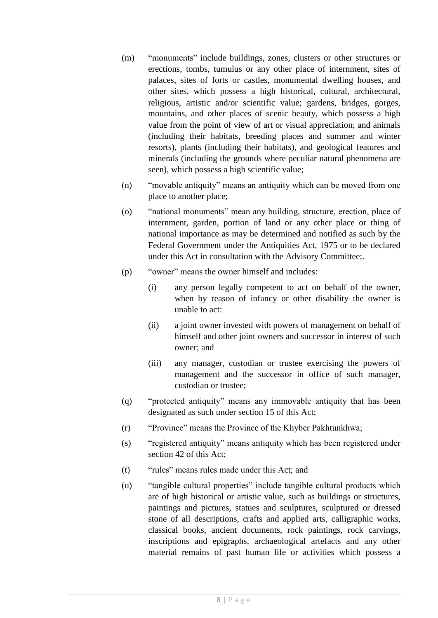- (m) "monuments" include buildings, zones, clusters or other structures or erections, tombs, tumulus or any other place of internment, sites of palaces, sites of forts or castles, monumental dwelling houses, and other sites, which possess a high historical, cultural, architectural, religious, artistic and/or scientific value; gardens, bridges, gorges, mountains, and other places of scenic beauty, which possess a high value from the point of view of art or visual appreciation; and animals (including their habitats, breeding places and summer and winter resorts), plants (including their habitats), and geological features and minerals (including the grounds where peculiar natural phenomena are seen), which possess a high scientific value;
- (n) "movable antiquity" means an antiquity which can be moved from one place to another place;
- (o) "national monuments" mean any building, structure, erection, place of internment, garden, portion of land or any other place or thing of national importance as may be determined and notified as such by the Federal Government under the Antiquities Act, 1975 or to be declared under this Act in consultation with the Advisory Committee;.
- (p) "owner" means the owner himself and includes:
	- (i) any person legally competent to act on behalf of the owner, when by reason of infancy or other disability the owner is unable to act:
	- (ii) a joint owner invested with powers of management on behalf of himself and other joint owners and successor in interest of such owner; and
	- (iii) any manager, custodian or trustee exercising the powers of management and the successor in office of such manager, custodian or trustee;
- (q) "protected antiquity" means any immovable antiquity that has been designated as such under section 15 of this Act;
- (r) "Province" means the Province of the Khyber Pakhtunkhwa;
- (s) "registered antiquity" means antiquity which has been registered under section 42 of this Act;
- (t) "rules" means rules made under this Act; and
- (u) "tangible cultural properties" include tangible cultural products which are of high historical or artistic value, such as buildings or structures, paintings and pictures, statues and sculptures, sculptured or dressed stone of all descriptions, crafts and applied arts, calligraphic works, classical books, ancient documents, rock paintings, rock carvings, inscriptions and epigraphs, archaeological artefacts and any other material remains of past human life or activities which possess a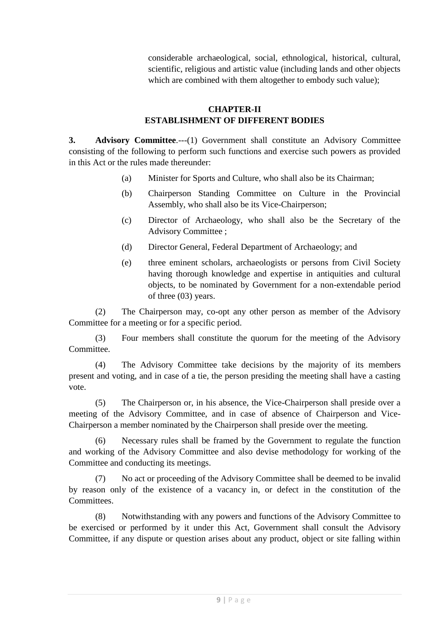considerable archaeological, social, ethnological, historical, cultural, scientific, religious and artistic value (including lands and other objects which are combined with them altogether to embody such value);

## **CHAPTER-II ESTABLISHMENT OF DIFFERENT BODIES**

**3. Advisory Committee**.---(1) Government shall constitute an Advisory Committee consisting of the following to perform such functions and exercise such powers as provided in this Act or the rules made thereunder:

- (a) Minister for Sports and Culture, who shall also be its Chairman;
- (b) Chairperson Standing Committee on Culture in the Provincial Assembly, who shall also be its Vice-Chairperson;
- (c) Director of Archaeology, who shall also be the Secretary of the Advisory Committee ;
- (d) Director General, Federal Department of Archaeology; and
- (e) three eminent scholars, archaeologists or persons from Civil Society having thorough knowledge and expertise in antiquities and cultural objects, to be nominated by Government for a non-extendable period of three (03) years.

(2) The Chairperson may, co-opt any other person as member of the Advisory Committee for a meeting or for a specific period.

(3) Four members shall constitute the quorum for the meeting of the Advisory Committee.

(4) The Advisory Committee take decisions by the majority of its members present and voting, and in case of a tie, the person presiding the meeting shall have a casting vote.

(5) The Chairperson or, in his absence, the Vice-Chairperson shall preside over a meeting of the Advisory Committee, and in case of absence of Chairperson and Vice-Chairperson a member nominated by the Chairperson shall preside over the meeting.

(6) Necessary rules shall be framed by the Government to regulate the function and working of the Advisory Committee and also devise methodology for working of the Committee and conducting its meetings.

(7) No act or proceeding of the Advisory Committee shall be deemed to be invalid by reason only of the existence of a vacancy in, or defect in the constitution of the Committees.

(8) Notwithstanding with any powers and functions of the Advisory Committee to be exercised or performed by it under this Act, Government shall consult the Advisory Committee, if any dispute or question arises about any product, object or site falling within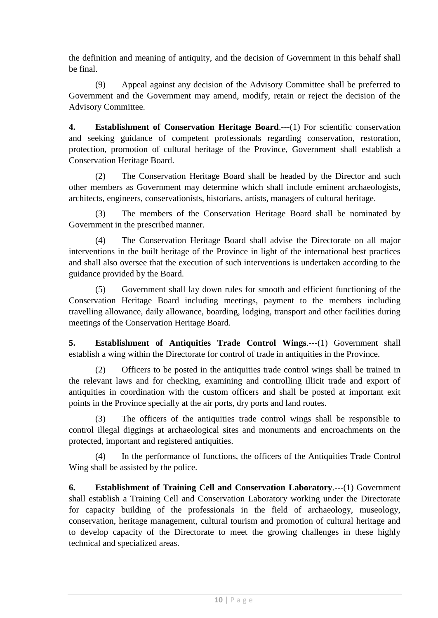the definition and meaning of antiquity, and the decision of Government in this behalf shall be final.

(9) Appeal against any decision of the Advisory Committee shall be preferred to Government and the Government may amend, modify, retain or reject the decision of the Advisory Committee.

**4. Establishment of Conservation Heritage Board**.---(1) For scientific conservation and seeking guidance of competent professionals regarding conservation, restoration, protection, promotion of cultural heritage of the Province, Government shall establish a Conservation Heritage Board.

(2) The Conservation Heritage Board shall be headed by the Director and such other members as Government may determine which shall include eminent archaeologists, architects, engineers, conservationists, historians, artists, managers of cultural heritage.

(3) The members of the Conservation Heritage Board shall be nominated by Government in the prescribed manner.

(4) The Conservation Heritage Board shall advise the Directorate on all major interventions in the built heritage of the Province in light of the international best practices and shall also oversee that the execution of such interventions is undertaken according to the guidance provided by the Board.

(5) Government shall lay down rules for smooth and efficient functioning of the Conservation Heritage Board including meetings, payment to the members including travelling allowance, daily allowance, boarding, lodging, transport and other facilities during meetings of the Conservation Heritage Board.

**5. Establishment of Antiquities Trade Control Wings**.---(1) Government shall establish a wing within the Directorate for control of trade in antiquities in the Province.

(2) Officers to be posted in the antiquities trade control wings shall be trained in the relevant laws and for checking, examining and controlling illicit trade and export of antiquities in coordination with the custom officers and shall be posted at important exit points in the Province specially at the air ports, dry ports and land routes.

(3) The officers of the antiquities trade control wings shall be responsible to control illegal diggings at archaeological sites and monuments and encroachments on the protected, important and registered antiquities.

(4) In the performance of functions, the officers of the Antiquities Trade Control Wing shall be assisted by the police.

**6. Establishment of Training Cell and Conservation Laboratory**.---(1) Government shall establish a Training Cell and Conservation Laboratory working under the Directorate for capacity building of the professionals in the field of archaeology, museology, conservation, heritage management, cultural tourism and promotion of cultural heritage and to develop capacity of the Directorate to meet the growing challenges in these highly technical and specialized areas.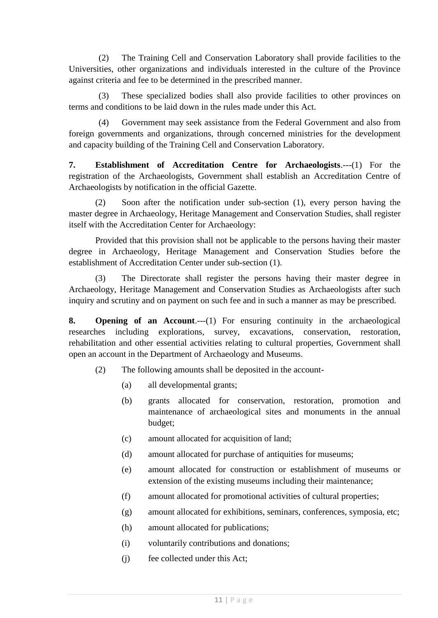(2) The Training Cell and Conservation Laboratory shall provide facilities to the Universities, other organizations and individuals interested in the culture of the Province against criteria and fee to be determined in the prescribed manner.

(3) These specialized bodies shall also provide facilities to other provinces on terms and conditions to be laid down in the rules made under this Act.

(4) Government may seek assistance from the Federal Government and also from foreign governments and organizations, through concerned ministries for the development and capacity building of the Training Cell and Conservation Laboratory.

**7. Establishment of Accreditation Centre for Archaeologists**.---(1) For the registration of the Archaeologists, Government shall establish an Accreditation Centre of Archaeologists by notification in the official Gazette.

(2) Soon after the notification under sub-section (1), every person having the master degree in Archaeology, Heritage Management and Conservation Studies, shall register itself with the Accreditation Center for Archaeology:

Provided that this provision shall not be applicable to the persons having their master degree in Archaeology, Heritage Management and Conservation Studies before the establishment of Accreditation Center under sub-section (1).

(3) The Directorate shall register the persons having their master degree in Archaeology, Heritage Management and Conservation Studies as Archaeologists after such inquiry and scrutiny and on payment on such fee and in such a manner as may be prescribed.

**8. Opening of an Account**.---(1) For ensuring continuity in the archaeological researches including explorations, survey, excavations, conservation, restoration, rehabilitation and other essential activities relating to cultural properties, Government shall open an account in the Department of Archaeology and Museums.

(2) The following amounts shall be deposited in the account-

- (a) all developmental grants;
- (b) grants allocated for conservation, restoration, promotion and maintenance of archaeological sites and monuments in the annual budget;
- (c) amount allocated for acquisition of land;
- (d) amount allocated for purchase of antiquities for museums;
- (e) amount allocated for construction or establishment of museums or extension of the existing museums including their maintenance;
- (f) amount allocated for promotional activities of cultural properties;
- (g) amount allocated for exhibitions, seminars, conferences, symposia, etc;
- (h) amount allocated for publications;
- (i) voluntarily contributions and donations;
- (j) fee collected under this Act;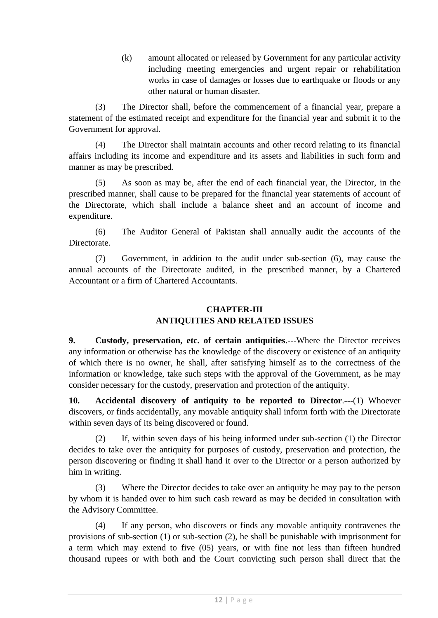(k) amount allocated or released by Government for any particular activity including meeting emergencies and urgent repair or rehabilitation works in case of damages or losses due to earthquake or floods or any other natural or human disaster.

(3) The Director shall, before the commencement of a financial year, prepare a statement of the estimated receipt and expenditure for the financial year and submit it to the Government for approval.

(4) The Director shall maintain accounts and other record relating to its financial affairs including its income and expenditure and its assets and liabilities in such form and manner as may be prescribed.

(5) As soon as may be, after the end of each financial year, the Director, in the prescribed manner, shall cause to be prepared for the financial year statements of account of the Directorate, which shall include a balance sheet and an account of income and expenditure.

(6) The Auditor General of Pakistan shall annually audit the accounts of the Directorate.

(7) Government, in addition to the audit under sub-section (6), may cause the annual accounts of the Directorate audited, in the prescribed manner, by a Chartered Accountant or a firm of Chartered Accountants.

## **CHAPTER-III ANTIQUITIES AND RELATED ISSUES**

**9. Custody, preservation, etc. of certain antiquities**.---Where the Director receives any information or otherwise has the knowledge of the discovery or existence of an antiquity of which there is no owner, he shall, after satisfying himself as to the correctness of the information or knowledge, take such steps with the approval of the Government, as he may consider necessary for the custody, preservation and protection of the antiquity.

**10. Accidental discovery of antiquity to be reported to Director**.---(1) Whoever discovers, or finds accidentally, any movable antiquity shall inform forth with the Directorate within seven days of its being discovered or found.

(2) If, within seven days of his being informed under sub-section (1) the Director decides to take over the antiquity for purposes of custody, preservation and protection, the person discovering or finding it shall hand it over to the Director or a person authorized by him in writing.

(3) Where the Director decides to take over an antiquity he may pay to the person by whom it is handed over to him such cash reward as may be decided in consultation with the Advisory Committee.

(4) If any person, who discovers or finds any movable antiquity contravenes the provisions of sub-section (1) or sub-section (2), he shall be punishable with imprisonment for a term which may extend to five (05) years, or with fine not less than fifteen hundred thousand rupees or with both and the Court convicting such person shall direct that the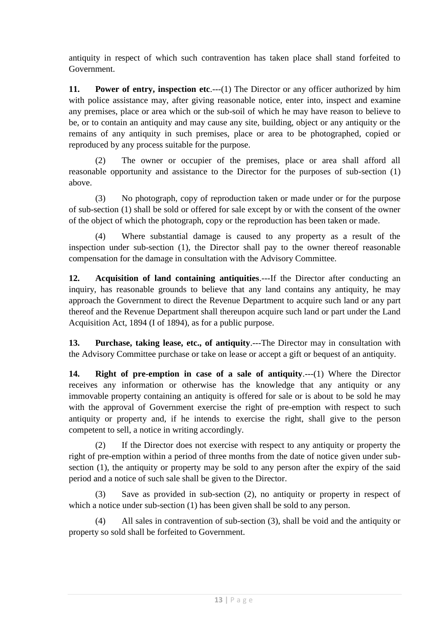antiquity in respect of which such contravention has taken place shall stand forfeited to Government.

**11. Power of entry, inspection etc.---(1)** The Director or any officer authorized by him with police assistance may, after giving reasonable notice, enter into, inspect and examine any premises, place or area which or the sub-soil of which he may have reason to believe to be, or to contain an antiquity and may cause any site, building, object or any antiquity or the remains of any antiquity in such premises, place or area to be photographed, copied or reproduced by any process suitable for the purpose.

(2) The owner or occupier of the premises, place or area shall afford all reasonable opportunity and assistance to the Director for the purposes of sub-section (1) above.

(3) No photograph, copy of reproduction taken or made under or for the purpose of sub-section (1) shall be sold or offered for sale except by or with the consent of the owner of the object of which the photograph, copy or the reproduction has been taken or made.

(4) Where substantial damage is caused to any property as a result of the inspection under sub-section (1), the Director shall pay to the owner thereof reasonable compensation for the damage in consultation with the Advisory Committee.

**12. Acquisition of land containing antiquities**.---If the Director after conducting an inquiry, has reasonable grounds to believe that any land contains any antiquity, he may approach the Government to direct the Revenue Department to acquire such land or any part thereof and the Revenue Department shall thereupon acquire such land or part under the Land Acquisition Act, 1894 (I of 1894), as for a public purpose.

**13. Purchase, taking lease, etc., of antiquity**.---The Director may in consultation with the Advisory Committee purchase or take on lease or accept a gift or bequest of an antiquity.

**14. Right of pre-emption in case of a sale of antiquity**.---(1) Where the Director receives any information or otherwise has the knowledge that any antiquity or any immovable property containing an antiquity is offered for sale or is about to be sold he may with the approval of Government exercise the right of pre-emption with respect to such antiquity or property and, if he intends to exercise the right, shall give to the person competent to sell, a notice in writing accordingly.

(2) If the Director does not exercise with respect to any antiquity or property the right of pre-emption within a period of three months from the date of notice given under subsection (1), the antiquity or property may be sold to any person after the expiry of the said period and a notice of such sale shall be given to the Director.

(3) Save as provided in sub-section (2), no antiquity or property in respect of which a notice under sub-section (1) has been given shall be sold to any person.

(4) All sales in contravention of sub-section (3), shall be void and the antiquity or property so sold shall be forfeited to Government.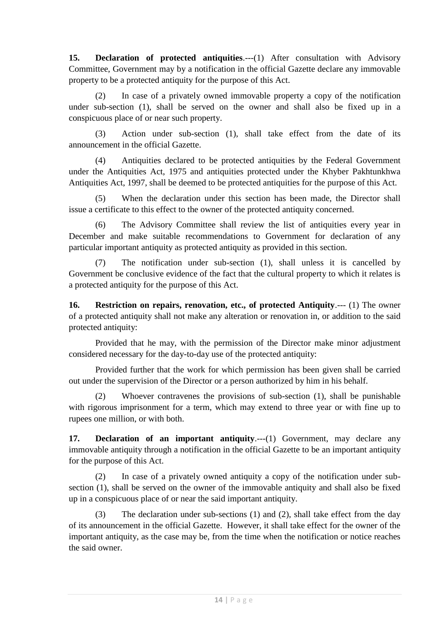**15. Declaration of protected antiquities.---(1)** After consultation with Advisory Committee, Government may by a notification in the official Gazette declare any immovable property to be a protected antiquity for the purpose of this Act.

(2) In case of a privately owned immovable property a copy of the notification under sub-section (1), shall be served on the owner and shall also be fixed up in a conspicuous place of or near such property.

(3) Action under sub-section (1), shall take effect from the date of its announcement in the official Gazette.

(4) Antiquities declared to be protected antiquities by the Federal Government under the Antiquities Act, 1975 and antiquities protected under the Khyber Pakhtunkhwa Antiquities Act, 1997, shall be deemed to be protected antiquities for the purpose of this Act.

(5) When the declaration under this section has been made, the Director shall issue a certificate to this effect to the owner of the protected antiquity concerned.

(6) The Advisory Committee shall review the list of antiquities every year in December and make suitable recommendations to Government for declaration of any particular important antiquity as protected antiquity as provided in this section.

(7) The notification under sub-section (1), shall unless it is cancelled by Government be conclusive evidence of the fact that the cultural property to which it relates is a protected antiquity for the purpose of this Act.

**16. Restriction on repairs, renovation, etc., of protected Antiquity**.--- (1) The owner of a protected antiquity shall not make any alteration or renovation in, or addition to the said protected antiquity:

Provided that he may, with the permission of the Director make minor adjustment considered necessary for the day-to-day use of the protected antiquity:

Provided further that the work for which permission has been given shall be carried out under the supervision of the Director or a person authorized by him in his behalf.

(2) Whoever contravenes the provisions of sub-section (1), shall be punishable with rigorous imprisonment for a term, which may extend to three year or with fine up to rupees one million, or with both.

**17. Declaration of an important antiquity....**(1) Government, may declare any immovable antiquity through a notification in the official Gazette to be an important antiquity for the purpose of this Act.

(2) In case of a privately owned antiquity a copy of the notification under subsection (1), shall be served on the owner of the immovable antiquity and shall also be fixed up in a conspicuous place of or near the said important antiquity.

(3) The declaration under sub-sections (1) and (2), shall take effect from the day of its announcement in the official Gazette. However, it shall take effect for the owner of the important antiquity, as the case may be, from the time when the notification or notice reaches the said owner.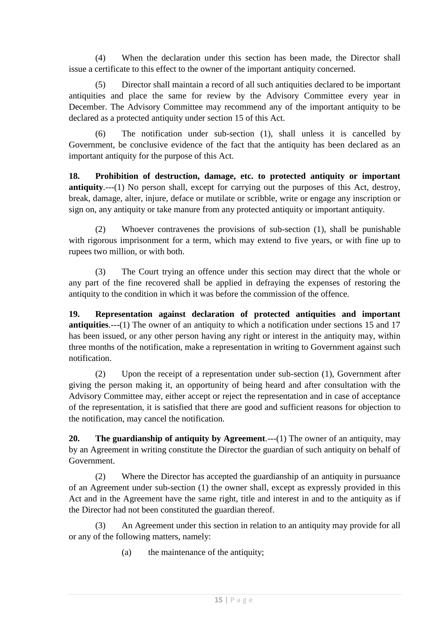(4) When the declaration under this section has been made, the Director shall issue a certificate to this effect to the owner of the important antiquity concerned.

(5) Director shall maintain a record of all such antiquities declared to be important antiquities and place the same for review by the Advisory Committee every year in December. The Advisory Committee may recommend any of the important antiquity to be declared as a protected antiquity under section 15 of this Act.

(6) The notification under sub-section (1), shall unless it is cancelled by Government, be conclusive evidence of the fact that the antiquity has been declared as an important antiquity for the purpose of this Act.

**18. Prohibition of destruction, damage, etc. to protected antiquity or important antiquity**.---(1) No person shall, except for carrying out the purposes of this Act, destroy, break, damage, alter, injure, deface or mutilate or scribble, write or engage any inscription or sign on, any antiquity or take manure from any protected antiquity or important antiquity.

(2) Whoever contravenes the provisions of sub-section (1), shall be punishable with rigorous imprisonment for a term, which may extend to five years, or with fine up to rupees two million, or with both.

(3) The Court trying an offence under this section may direct that the whole or any part of the fine recovered shall be applied in defraying the expenses of restoring the antiquity to the condition in which it was before the commission of the offence.

**19. Representation against declaration of protected antiquities and important antiquities**.---(1) The owner of an antiquity to which a notification under sections 15 and 17 has been issued, or any other person having any right or interest in the antiquity may, within three months of the notification, make a representation in writing to Government against such notification.

(2) Upon the receipt of a representation under sub-section (1), Government after giving the person making it, an opportunity of being heard and after consultation with the Advisory Committee may, either accept or reject the representation and in case of acceptance of the representation, it is satisfied that there are good and sufficient reasons for objection to the notification, may cancel the notification.

**20. The guardianship of antiquity by Agreement.**---(1) The owner of an antiquity, may by an Agreement in writing constitute the Director the guardian of such antiquity on behalf of Government.

(2) Where the Director has accepted the guardianship of an antiquity in pursuance of an Agreement under sub-section (1) the owner shall, except as expressly provided in this Act and in the Agreement have the same right, title and interest in and to the antiquity as if the Director had not been constituted the guardian thereof.

(3) An Agreement under this section in relation to an antiquity may provide for all or any of the following matters, namely:

(a) the maintenance of the antiquity;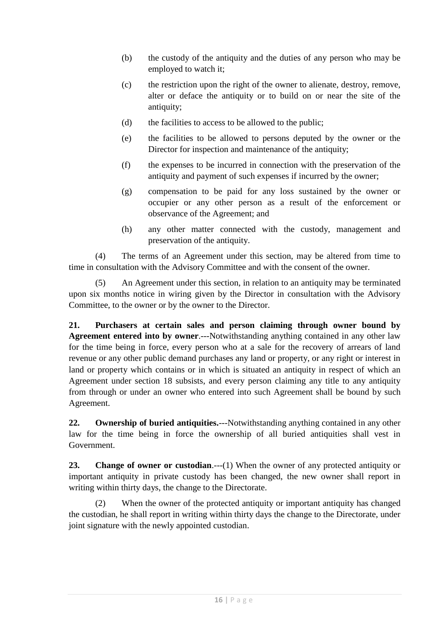- (b) the custody of the antiquity and the duties of any person who may be employed to watch it;
- (c) the restriction upon the right of the owner to alienate, destroy, remove, alter or deface the antiquity or to build on or near the site of the antiquity;
- (d) the facilities to access to be allowed to the public;
- (e) the facilities to be allowed to persons deputed by the owner or the Director for inspection and maintenance of the antiquity:
- (f) the expenses to be incurred in connection with the preservation of the antiquity and payment of such expenses if incurred by the owner;
- (g) compensation to be paid for any loss sustained by the owner or occupier or any other person as a result of the enforcement or observance of the Agreement; and
- (h) any other matter connected with the custody, management and preservation of the antiquity.

(4) The terms of an Agreement under this section, may be altered from time to time in consultation with the Advisory Committee and with the consent of the owner.

(5) An Agreement under this section, in relation to an antiquity may be terminated upon six months notice in wiring given by the Director in consultation with the Advisory Committee, to the owner or by the owner to the Director.

**21. Purchasers at certain sales and person claiming through owner bound by Agreement entered into by owner**.---Notwithstanding anything contained in any other law for the time being in force, every person who at a sale for the recovery of arrears of land revenue or any other public demand purchases any land or property, or any right or interest in land or property which contains or in which is situated an antiquity in respect of which an Agreement under section 18 subsists, and every person claiming any title to any antiquity from through or under an owner who entered into such Agreement shall be bound by such Agreement.

**22. Ownership of buried antiquities.**---Notwithstanding anything contained in any other law for the time being in force the ownership of all buried antiquities shall vest in Government.

**23. Change of owner or custodian.**---(1) When the owner of any protected antiquity or important antiquity in private custody has been changed, the new owner shall report in writing within thirty days, the change to the Directorate.

(2) When the owner of the protected antiquity or important antiquity has changed the custodian, he shall report in writing within thirty days the change to the Directorate, under joint signature with the newly appointed custodian.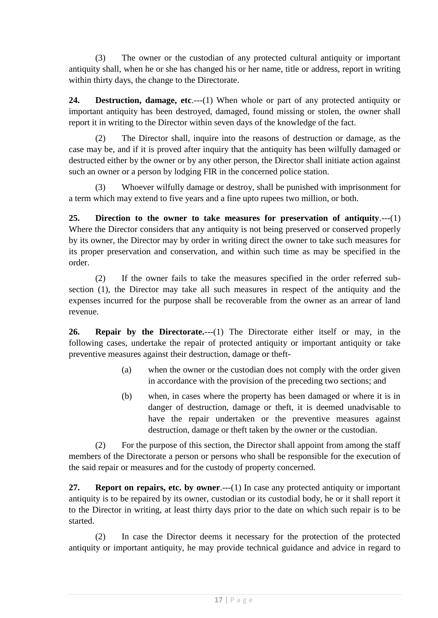(3) The owner or the custodian of any protected cultural antiquity or important antiquity shall, when he or she has changed his or her name, title or address, report in writing within thirty days, the change to the Directorate.

**24. Destruction, damage, etc**.---(1) When whole or part of any protected antiquity or important antiquity has been destroyed, damaged, found missing or stolen, the owner shall report it in writing to the Director within seven days of the knowledge of the fact.

(2) The Director shall, inquire into the reasons of destruction or damage, as the case may be, and if it is proved after inquiry that the antiquity has been wilfully damaged or destructed either by the owner or by any other person, the Director shall initiate action against such an owner or a person by lodging FIR in the concerned police station.

(3) Whoever wilfully damage or destroy, shall be punished with imprisonment for a term which may extend to five years and a fine upto rupees two million, or both.

**25. Direction to the owner to take measures for preservation of antiquity**.---(1) Where the Director considers that any antiquity is not being preserved or conserved properly by its owner, the Director may by order in writing direct the owner to take such measures for its proper preservation and conservation, and within such time as may be specified in the order.

(2) If the owner fails to take the measures specified in the order referred subsection (1), the Director may take all such measures in respect of the antiquity and the expenses incurred for the purpose shall be recoverable from the owner as an arrear of land revenue.

**26. Repair by the Directorate.**---(1) The Directorate either itself or may, in the following cases, undertake the repair of protected antiquity or important antiquity or take preventive measures against their destruction, damage or theft-

- (a) when the owner or the custodian does not comply with the order given in accordance with the provision of the preceding two sections; and
- (b) when, in cases where the property has been damaged or where it is in danger of destruction, damage or theft, it is deemed unadvisable to have the repair undertaken or the preventive measures against destruction, damage or theft taken by the owner or the custodian.

(2) For the purpose of this section, the Director shall appoint from among the staff members of the Directorate a person or persons who shall be responsible for the execution of the said repair or measures and for the custody of property concerned.

**27. Report on repairs, etc. by owner**.---(1) In case any protected antiquity or important antiquity is to be repaired by its owner, custodian or its custodial body, he or it shall report it to the Director in writing, at least thirty days prior to the date on which such repair is to be started.

(2) In case the Director deems it necessary for the protection of the protected antiquity or important antiquity, he may provide technical guidance and advice in regard to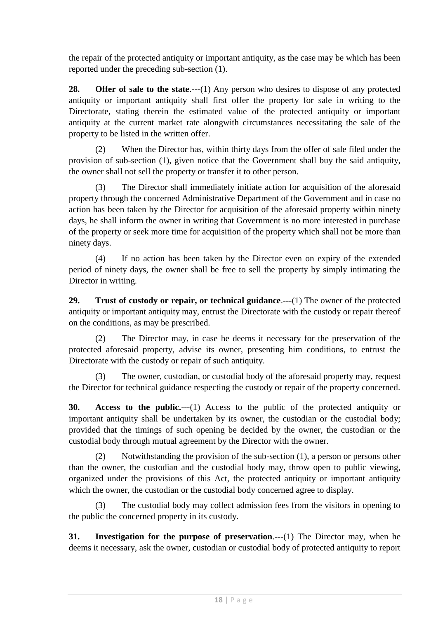the repair of the protected antiquity or important antiquity, as the case may be which has been reported under the preceding sub-section (1).

**28. Offer of sale to the state.**---(1) Any person who desires to dispose of any protected antiquity or important antiquity shall first offer the property for sale in writing to the Directorate, stating therein the estimated value of the protected antiquity or important antiquity at the current market rate alongwith circumstances necessitating the sale of the property to be listed in the written offer.

(2) When the Director has, within thirty days from the offer of sale filed under the provision of sub-section (1), given notice that the Government shall buy the said antiquity, the owner shall not sell the property or transfer it to other person.

(3) The Director shall immediately initiate action for acquisition of the aforesaid property through the concerned Administrative Department of the Government and in case no action has been taken by the Director for acquisition of the aforesaid property within ninety days, he shall inform the owner in writing that Government is no more interested in purchase of the property or seek more time for acquisition of the property which shall not be more than ninety days.

(4) If no action has been taken by the Director even on expiry of the extended period of ninety days, the owner shall be free to sell the property by simply intimating the Director in writing.

**29. Trust of custody or repair, or technical guidance**.---(1) The owner of the protected antiquity or important antiquity may, entrust the Directorate with the custody or repair thereof on the conditions, as may be prescribed.

(2) The Director may, in case he deems it necessary for the preservation of the protected aforesaid property, advise its owner, presenting him conditions, to entrust the Directorate with the custody or repair of such antiquity.

(3) The owner, custodian, or custodial body of the aforesaid property may, request the Director for technical guidance respecting the custody or repair of the property concerned.

**30. Access to the public.**---(1) Access to the public of the protected antiquity or important antiquity shall be undertaken by its owner, the custodian or the custodial body; provided that the timings of such opening be decided by the owner, the custodian or the custodial body through mutual agreement by the Director with the owner.

(2) Notwithstanding the provision of the sub-section (1), a person or persons other than the owner, the custodian and the custodial body may, throw open to public viewing, organized under the provisions of this Act, the protected antiquity or important antiquity which the owner, the custodian or the custodial body concerned agree to display.

(3) The custodial body may collect admission fees from the visitors in opening to the public the concerned property in its custody.

**31. Investigation for the purpose of preservation.**——(1) The Director may, when he deems it necessary, ask the owner, custodian or custodial body of protected antiquity to report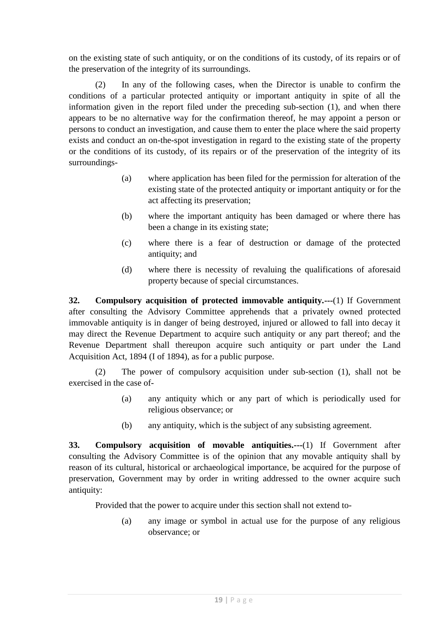on the existing state of such antiquity, or on the conditions of its custody, of its repairs or of the preservation of the integrity of its surroundings.

(2) In any of the following cases, when the Director is unable to confirm the conditions of a particular protected antiquity or important antiquity in spite of all the information given in the report filed under the preceding sub-section (1), and when there appears to be no alternative way for the confirmation thereof, he may appoint a person or persons to conduct an investigation, and cause them to enter the place where the said property exists and conduct an on-the-spot investigation in regard to the existing state of the property or the conditions of its custody, of its repairs or of the preservation of the integrity of its surroundings-

- (a) where application has been filed for the permission for alteration of the existing state of the protected antiquity or important antiquity or for the act affecting its preservation;
- (b) where the important antiquity has been damaged or where there has been a change in its existing state;
- (c) where there is a fear of destruction or damage of the protected antiquity; and
- (d) where there is necessity of revaluing the qualifications of aforesaid property because of special circumstances.

**32. Compulsory acquisition of protected immovable antiquity.---**(1) If Government after consulting the Advisory Committee apprehends that a privately owned protected immovable antiquity is in danger of being destroyed, injured or allowed to fall into decay it may direct the Revenue Department to acquire such antiquity or any part thereof; and the Revenue Department shall thereupon acquire such antiquity or part under the Land Acquisition Act, 1894 (I of 1894), as for a public purpose.

(2) The power of compulsory acquisition under sub-section (1), shall not be exercised in the case of-

- (a) any antiquity which or any part of which is periodically used for religious observance; or
- (b) any antiquity, which is the subject of any subsisting agreement.

**33. Compulsory acquisition of movable antiquities.---**(1) If Government after consulting the Advisory Committee is of the opinion that any movable antiquity shall by reason of its cultural, historical or archaeological importance, be acquired for the purpose of preservation, Government may by order in writing addressed to the owner acquire such antiquity:

Provided that the power to acquire under this section shall not extend to-

(a) any image or symbol in actual use for the purpose of any religious observance; or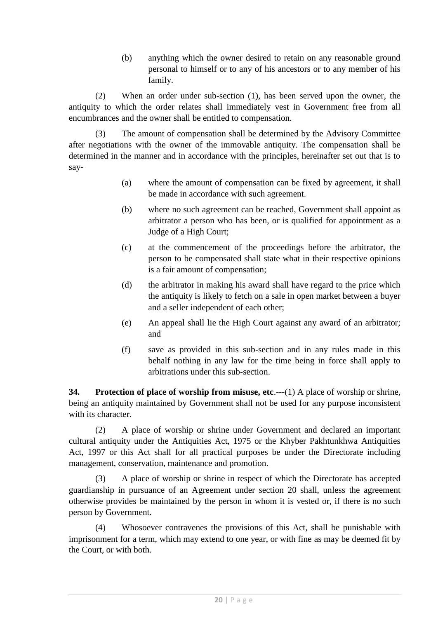(b) anything which the owner desired to retain on any reasonable ground personal to himself or to any of his ancestors or to any member of his family.

(2) When an order under sub-section (1), has been served upon the owner, the antiquity to which the order relates shall immediately vest in Government free from all encumbrances and the owner shall be entitled to compensation.

(3) The amount of compensation shall be determined by the Advisory Committee after negotiations with the owner of the immovable antiquity. The compensation shall be determined in the manner and in accordance with the principles, hereinafter set out that is to say-

- (a) where the amount of compensation can be fixed by agreement, it shall be made in accordance with such agreement.
- (b) where no such agreement can be reached, Government shall appoint as arbitrator a person who has been, or is qualified for appointment as a Judge of a High Court;
- (c) at the commencement of the proceedings before the arbitrator, the person to be compensated shall state what in their respective opinions is a fair amount of compensation;
- (d) the arbitrator in making his award shall have regard to the price which the antiquity is likely to fetch on a sale in open market between a buyer and a seller independent of each other;
- (e) An appeal shall lie the High Court against any award of an arbitrator; and
- (f) save as provided in this sub-section and in any rules made in this behalf nothing in any law for the time being in force shall apply to arbitrations under this sub-section.

**34. Protection of place of worship from misuse, etc**.---(1) A place of worship or shrine, being an antiquity maintained by Government shall not be used for any purpose inconsistent with its character.

(2) A place of worship or shrine under Government and declared an important cultural antiquity under the Antiquities Act, 1975 or the Khyber Pakhtunkhwa Antiquities Act, 1997 or this Act shall for all practical purposes be under the Directorate including management, conservation, maintenance and promotion.

(3) A place of worship or shrine in respect of which the Directorate has accepted guardianship in pursuance of an Agreement under section 20 shall, unless the agreement otherwise provides be maintained by the person in whom it is vested or, if there is no such person by Government.

(4) Whosoever contravenes the provisions of this Act, shall be punishable with imprisonment for a term, which may extend to one year, or with fine as may be deemed fit by the Court, or with both.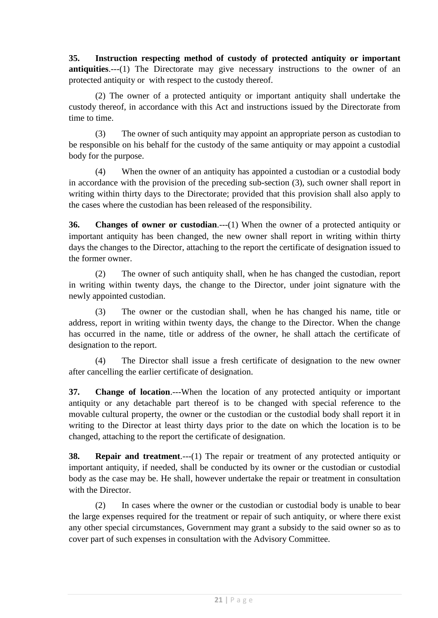**35. Instruction respecting method of custody of protected antiquity or important antiquities.**---(1) The Directorate may give necessary instructions to the owner of an protected antiquity or with respect to the custody thereof.

(2) The owner of a protected antiquity or important antiquity shall undertake the custody thereof, in accordance with this Act and instructions issued by the Directorate from time to time.

(3) The owner of such antiquity may appoint an appropriate person as custodian to be responsible on his behalf for the custody of the same antiquity or may appoint a custodial body for the purpose.

(4) When the owner of an antiquity has appointed a custodian or a custodial body in accordance with the provision of the preceding sub-section (3), such owner shall report in writing within thirty days to the Directorate; provided that this provision shall also apply to the cases where the custodian has been released of the responsibility.

**36. Changes of owner or custodian**.---(1) When the owner of a protected antiquity or important antiquity has been changed, the new owner shall report in writing within thirty days the changes to the Director, attaching to the report the certificate of designation issued to the former owner.

(2) The owner of such antiquity shall, when he has changed the custodian, report in writing within twenty days, the change to the Director, under joint signature with the newly appointed custodian.

(3) The owner or the custodian shall, when he has changed his name, title or address, report in writing within twenty days, the change to the Director. When the change has occurred in the name, title or address of the owner, he shall attach the certificate of designation to the report.

(4) The Director shall issue a fresh certificate of designation to the new owner after cancelling the earlier certificate of designation.

**37. Change of location**.---When the location of any protected antiquity or important antiquity or any detachable part thereof is to be changed with special reference to the movable cultural property, the owner or the custodian or the custodial body shall report it in writing to the Director at least thirty days prior to the date on which the location is to be changed, attaching to the report the certificate of designation.

**38. Repair and treatment**.---(1) The repair or treatment of any protected antiquity or important antiquity, if needed, shall be conducted by its owner or the custodian or custodial body as the case may be. He shall, however undertake the repair or treatment in consultation with the Director.

(2) In cases where the owner or the custodian or custodial body is unable to bear the large expenses required for the treatment or repair of such antiquity, or where there exist any other special circumstances, Government may grant a subsidy to the said owner so as to cover part of such expenses in consultation with the Advisory Committee.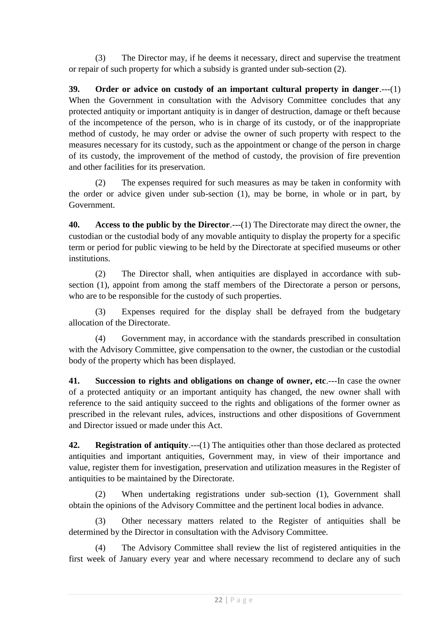(3) The Director may, if he deems it necessary, direct and supervise the treatment or repair of such property for which a subsidy is granted under sub-section (2).

**39. Order or advice on custody of an important cultural property in danger**.---(1) When the Government in consultation with the Advisory Committee concludes that any protected antiquity or important antiquity is in danger of destruction, damage or theft because of the incompetence of the person, who is in charge of its custody, or of the inappropriate method of custody, he may order or advise the owner of such property with respect to the measures necessary for its custody, such as the appointment or change of the person in charge of its custody, the improvement of the method of custody, the provision of fire prevention and other facilities for its preservation.

(2) The expenses required for such measures as may be taken in conformity with the order or advice given under sub-section (1), may be borne, in whole or in part, by Government.

**40. Access to the public by the Director**.---(1) The Directorate may direct the owner, the custodian or the custodial body of any movable antiquity to display the property for a specific term or period for public viewing to be held by the Directorate at specified museums or other institutions.

(2) The Director shall, when antiquities are displayed in accordance with subsection (1), appoint from among the staff members of the Directorate a person or persons, who are to be responsible for the custody of such properties.

(3) Expenses required for the display shall be defrayed from the budgetary allocation of the Directorate.

(4) Government may, in accordance with the standards prescribed in consultation with the Advisory Committee, give compensation to the owner, the custodian or the custodial body of the property which has been displayed.

**41. Succession to rights and obligations on change of owner, etc**.---In case the owner of a protected antiquity or an important antiquity has changed, the new owner shall with reference to the said antiquity succeed to the rights and obligations of the former owner as prescribed in the relevant rules, advices, instructions and other dispositions of Government and Director issued or made under this Act.

**42. Registration of antiquity**.---(1) The antiquities other than those declared as protected antiquities and important antiquities, Government may, in view of their importance and value, register them for investigation, preservation and utilization measures in the Register of antiquities to be maintained by the Directorate.

(2) When undertaking registrations under sub-section (1), Government shall obtain the opinions of the Advisory Committee and the pertinent local bodies in advance.

(3) Other necessary matters related to the Register of antiquities shall be determined by the Director in consultation with the Advisory Committee.

(4) The Advisory Committee shall review the list of registered antiquities in the first week of January every year and where necessary recommend to declare any of such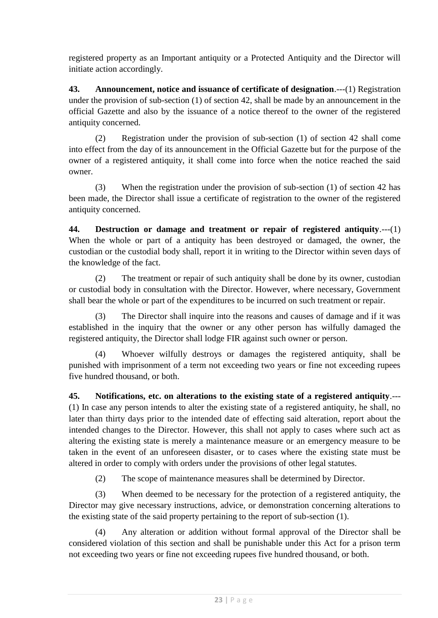registered property as an Important antiquity or a Protected Antiquity and the Director will initiate action accordingly.

**43. Announcement, notice and issuance of certificate of designation**.---(1) Registration under the provision of sub-section (1) of section 42, shall be made by an announcement in the official Gazette and also by the issuance of a notice thereof to the owner of the registered antiquity concerned.

(2) Registration under the provision of sub-section (1) of section 42 shall come into effect from the day of its announcement in the Official Gazette but for the purpose of the owner of a registered antiquity, it shall come into force when the notice reached the said owner.

(3) When the registration under the provision of sub-section (1) of section 42 has been made, the Director shall issue a certificate of registration to the owner of the registered antiquity concerned.

**44. Destruction or damage and treatment or repair of registered antiquity**.---(1) When the whole or part of a antiquity has been destroyed or damaged, the owner, the custodian or the custodial body shall, report it in writing to the Director within seven days of the knowledge of the fact.

(2) The treatment or repair of such antiquity shall be done by its owner, custodian or custodial body in consultation with the Director. However, where necessary, Government shall bear the whole or part of the expenditures to be incurred on such treatment or repair.

(3) The Director shall inquire into the reasons and causes of damage and if it was established in the inquiry that the owner or any other person has wilfully damaged the registered antiquity, the Director shall lodge FIR against such owner or person.

(4) Whoever wilfully destroys or damages the registered antiquity, shall be punished with imprisonment of a term not exceeding two years or fine not exceeding rupees five hundred thousand, or both.

**45. Notifications, etc. on alterations to the existing state of a registered antiquity**.--- (1) In case any person intends to alter the existing state of a registered antiquity, he shall, no later than thirty days prior to the intended date of effecting said alteration, report about the intended changes to the Director. However, this shall not apply to cases where such act as altering the existing state is merely a maintenance measure or an emergency measure to be taken in the event of an unforeseen disaster, or to cases where the existing state must be altered in order to comply with orders under the provisions of other legal statutes.

(2) The scope of maintenance measures shall be determined by Director.

(3) When deemed to be necessary for the protection of a registered antiquity, the Director may give necessary instructions, advice, or demonstration concerning alterations to the existing state of the said property pertaining to the report of sub-section (1).

(4) Any alteration or addition without formal approval of the Director shall be considered violation of this section and shall be punishable under this Act for a prison term not exceeding two years or fine not exceeding rupees five hundred thousand, or both.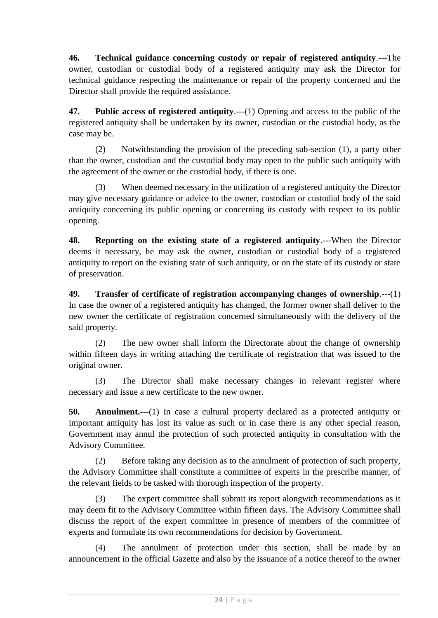**46. Technical guidance concerning custody or repair of registered antiquity**.---The owner, custodian or custodial body of a registered antiquity may ask the Director for technical guidance respecting the maintenance or repair of the property concerned and the Director shall provide the required assistance.

**47. Public access of registered antiquity**.---(1) Opening and access to the public of the registered antiquity shall be undertaken by its owner, custodian or the custodial body, as the case may be.

(2) Notwithstanding the provision of the preceding sub-section (1), a party other than the owner, custodian and the custodial body may open to the public such antiquity with the agreement of the owner or the custodial body, if there is one.

(3) When deemed necessary in the utilization of a registered antiquity the Director may give necessary guidance or advice to the owner, custodian or custodial body of the said antiquity concerning its public opening or concerning its custody with respect to its public opening.

**48. Reporting on the existing state of a registered antiquity**.---When the Director deems it necessary, he may ask the owner, custodian or custodial body of a registered antiquity to report on the existing state of such antiquity, or on the state of its custody or state of preservation.

**49. Transfer of certificate of registration accompanying changes of ownership**.---(1) In case the owner of a registered antiquity has changed, the former owner shall deliver to the new owner the certificate of registration concerned simultaneously with the delivery of the said property.

(2) The new owner shall inform the Directorate about the change of ownership within fifteen days in writing attaching the certificate of registration that was issued to the original owner.

(3) The Director shall make necessary changes in relevant register where necessary and issue a new certificate to the new owner.

**50. Annulment.**---(1) In case a cultural property declared as a protected antiquity or important antiquity has lost its value as such or in case there is any other special reason, Government may annul the protection of such protected antiquity in consultation with the Advisory Committee.

(2) Before taking any decision as to the annulment of protection of such property, the Advisory Committee shall constitute a committee of experts in the prescribe manner, of the relevant fields to be tasked with thorough inspection of the property.

(3) The expert committee shall submit its report alongwith recommendations as it may deem fit to the Advisory Committee within fifteen days. The Advisory Committee shall discuss the report of the expert committee in presence of members of the committee of experts and formulate its own recommendations for decision by Government.

(4) The annulment of protection under this section, shall be made by an announcement in the official Gazette and also by the issuance of a notice thereof to the owner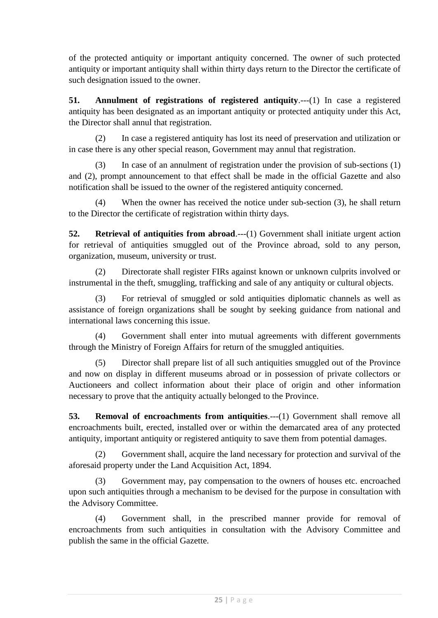of the protected antiquity or important antiquity concerned. The owner of such protected antiquity or important antiquity shall within thirty days return to the Director the certificate of such designation issued to the owner.

**51. Annulment of registrations of registered antiquity**.---(1) In case a registered antiquity has been designated as an important antiquity or protected antiquity under this Act, the Director shall annul that registration.

(2) In case a registered antiquity has lost its need of preservation and utilization or in case there is any other special reason, Government may annul that registration.

(3) In case of an annulment of registration under the provision of sub-sections (1) and (2), prompt announcement to that effect shall be made in the official Gazette and also notification shall be issued to the owner of the registered antiquity concerned.

(4) When the owner has received the notice under sub-section (3), he shall return to the Director the certificate of registration within thirty days.

**52. Retrieval of antiquities from abroad.**---(1) Government shall initiate urgent action for retrieval of antiquities smuggled out of the Province abroad, sold to any person, organization, museum, university or trust.

(2) Directorate shall register FIRs against known or unknown culprits involved or instrumental in the theft, smuggling, trafficking and sale of any antiquity or cultural objects.

(3) For retrieval of smuggled or sold antiquities diplomatic channels as well as assistance of foreign organizations shall be sought by seeking guidance from national and international laws concerning this issue.

(4) Government shall enter into mutual agreements with different governments through the Ministry of Foreign Affairs for return of the smuggled antiquities.

(5) Director shall prepare list of all such antiquities smuggled out of the Province and now on display in different museums abroad or in possession of private collectors or Auctioneers and collect information about their place of origin and other information necessary to prove that the antiquity actually belonged to the Province.

**53. Removal of encroachments from antiquities**.---(1) Government shall remove all encroachments built, erected, installed over or within the demarcated area of any protected antiquity, important antiquity or registered antiquity to save them from potential damages.

(2) Government shall, acquire the land necessary for protection and survival of the aforesaid property under the Land Acquisition Act, 1894.

(3) Government may, pay compensation to the owners of houses etc. encroached upon such antiquities through a mechanism to be devised for the purpose in consultation with the Advisory Committee.

(4) Government shall, in the prescribed manner provide for removal of encroachments from such antiquities in consultation with the Advisory Committee and publish the same in the official Gazette.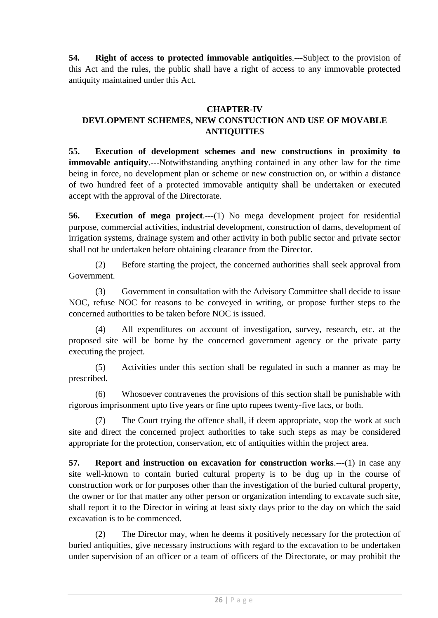**54. Right of access to protected immovable antiquities**.---Subject to the provision of this Act and the rules, the public shall have a right of access to any immovable protected antiquity maintained under this Act.

## **CHAPTER-IV**

# **DEVLOPMENT SCHEMES, NEW CONSTUCTION AND USE OF MOVABLE ANTIQUITIES**

**55. Execution of development schemes and new constructions in proximity to immovable antiquity.**---Notwithstanding anything contained in any other law for the time being in force, no development plan or scheme or new construction on, or within a distance of two hundred feet of a protected immovable antiquity shall be undertaken or executed accept with the approval of the Directorate.

**56. Execution of mega project.**---(1) No mega development project for residential purpose, commercial activities, industrial development, construction of dams, development of irrigation systems, drainage system and other activity in both public sector and private sector shall not be undertaken before obtaining clearance from the Director.

(2) Before starting the project, the concerned authorities shall seek approval from Government.

(3) Government in consultation with the Advisory Committee shall decide to issue NOC, refuse NOC for reasons to be conveyed in writing, or propose further steps to the concerned authorities to be taken before NOC is issued.

(4) All expenditures on account of investigation, survey, research, etc. at the proposed site will be borne by the concerned government agency or the private party executing the project.

(5) Activities under this section shall be regulated in such a manner as may be prescribed.

(6) Whosoever contravenes the provisions of this section shall be punishable with rigorous imprisonment upto five years or fine upto rupees twenty-five lacs, or both.

(7) The Court trying the offence shall, if deem appropriate, stop the work at such site and direct the concerned project authorities to take such steps as may be considered appropriate for the protection, conservation, etc of antiquities within the project area.

**57. Report and instruction on excavation for construction works**.---(1) In case any site well-known to contain buried cultural property is to be dug up in the course of construction work or for purposes other than the investigation of the buried cultural property, the owner or for that matter any other person or organization intending to excavate such site, shall report it to the Director in wiring at least sixty days prior to the day on which the said excavation is to be commenced.

(2) The Director may, when he deems it positively necessary for the protection of buried antiquities, give necessary instructions with regard to the excavation to be undertaken under supervision of an officer or a team of officers of the Directorate, or may prohibit the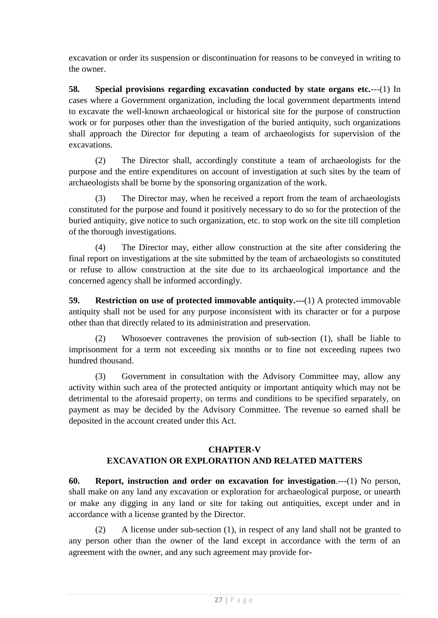excavation or order its suspension or discontinuation for reasons to be conveyed in writing to the owner.

**58. Special provisions regarding excavation conducted by state organs etc.**---(1) In cases where a Government organization, including the local government departments intend to excavate the well-known archaeological or historical site for the purpose of construction work or for purposes other than the investigation of the buried antiquity, such organizations shall approach the Director for deputing a team of archaeologists for supervision of the excavations.

(2) The Director shall, accordingly constitute a team of archaeologists for the purpose and the entire expenditures on account of investigation at such sites by the team of archaeologists shall be borne by the sponsoring organization of the work.

(3) The Director may, when he received a report from the team of archaeologists constituted for the purpose and found it positively necessary to do so for the protection of the buried antiquity, give notice to such organization, etc. to stop work on the site till completion of the thorough investigations.

(4) The Director may, either allow construction at the site after considering the final report on investigations at the site submitted by the team of archaeologists so constituted or refuse to allow construction at the site due to its archaeological importance and the concerned agency shall be informed accordingly.

**59. Restriction on use of protected immovable antiquity.---**(1) A protected immovable antiquity shall not be used for any purpose inconsistent with its character or for a purpose other than that directly related to its administration and preservation.

(2) Whosoever contravenes the provision of sub-section (1), shall be liable to imprisonment for a term not exceeding six months or to fine not exceeding rupees two hundred thousand.

(3) Government in consultation with the Advisory Committee may, allow any activity within such area of the protected antiquity or important antiquity which may not be detrimental to the aforesaid property, on terms and conditions to be specified separately, on payment as may be decided by the Advisory Committee. The revenue so earned shall be deposited in the account created under this Act.

#### **CHAPTER-V EXCAVATION OR EXPLORATION AND RELATED MATTERS**

**60. Report, instruction and order on excavation for investigation**.---(1) No person, shall make on any land any excavation or exploration for archaeological purpose, or unearth or make any digging in any land or site for taking out antiquities, except under and in accordance with a license granted by the Director.

(2) A license under sub-section (1), in respect of any land shall not be granted to any person other than the owner of the land except in accordance with the term of an agreement with the owner, and any such agreement may provide for-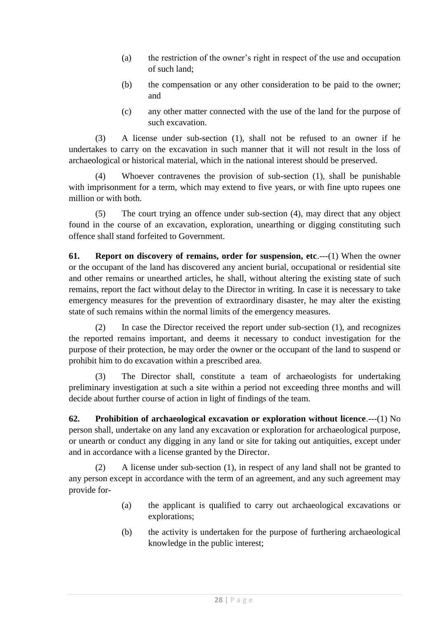- (a) the restriction of the owner's right in respect of the use and occupation of such land;
- (b) the compensation or any other consideration to be paid to the owner; and
- (c) any other matter connected with the use of the land for the purpose of such excavation.

(3) A license under sub-section (1), shall not be refused to an owner if he undertakes to carry on the excavation in such manner that it will not result in the loss of archaeological or historical material, which in the national interest should be preserved.

(4) Whoever contravenes the provision of sub-section (1), shall be punishable with imprisonment for a term, which may extend to five years, or with fine upto rupees one million or with both.

(5) The court trying an offence under sub-section (4), may direct that any object found in the course of an excavation, exploration, unearthing or digging constituting such offence shall stand forfeited to Government.

**61. Report on discovery of remains, order for suspension, etc**.---(1) When the owner or the occupant of the land has discovered any ancient burial, occupational or residential site and other remains or unearthed articles, he shall, without altering the existing state of such remains, report the fact without delay to the Director in writing. In case it is necessary to take emergency measures for the prevention of extraordinary disaster, he may alter the existing state of such remains within the normal limits of the emergency measures.

(2) In case the Director received the report under sub-section (1), and recognizes the reported remains important, and deems it necessary to conduct investigation for the purpose of their protection, he may order the owner or the occupant of the land to suspend or prohibit him to do excavation within a prescribed area.

(3) The Director shall, constitute a team of archaeologists for undertaking preliminary investigation at such a site within a period not exceeding three months and will decide about further course of action in light of findings of the team.

**62. Prohibition of archaeological excavation or exploration without licence**.---(1) No person shall, undertake on any land any excavation or exploration for archaeological purpose, or unearth or conduct any digging in any land or site for taking out antiquities, except under and in accordance with a license granted by the Director.

(2) A license under sub-section (1), in respect of any land shall not be granted to any person except in accordance with the term of an agreement, and any such agreement may provide for-

- (a) the applicant is qualified to carry out archaeological excavations or explorations;
- (b) the activity is undertaken for the purpose of furthering archaeological knowledge in the public interest;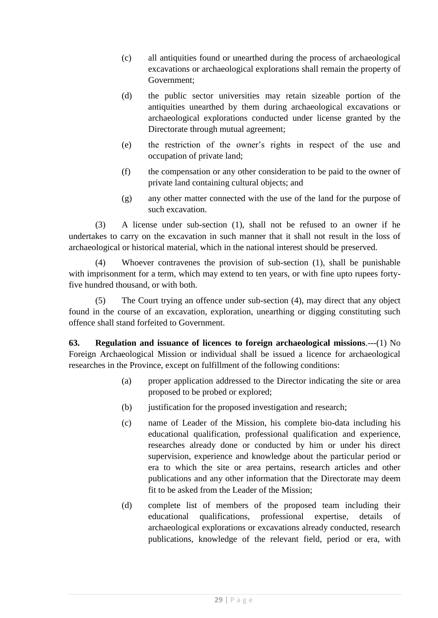- (c) all antiquities found or unearthed during the process of archaeological excavations or archaeological explorations shall remain the property of Government;
- (d) the public sector universities may retain sizeable portion of the antiquities unearthed by them during archaeological excavations or archaeological explorations conducted under license granted by the Directorate through mutual agreement;
- (e) the restriction of the owner's rights in respect of the use and occupation of private land;
- (f) the compensation or any other consideration to be paid to the owner of private land containing cultural objects; and
- (g) any other matter connected with the use of the land for the purpose of such excavation.

(3) A license under sub-section (1), shall not be refused to an owner if he undertakes to carry on the excavation in such manner that it shall not result in the loss of archaeological or historical material, which in the national interest should be preserved.

(4) Whoever contravenes the provision of sub-section (1), shall be punishable with imprisonment for a term, which may extend to ten years, or with fine upto rupees fortyfive hundred thousand, or with both.

(5) The Court trying an offence under sub-section (4), may direct that any object found in the course of an excavation, exploration, unearthing or digging constituting such offence shall stand forfeited to Government.

**63. Regulation and issuance of licences to foreign archaeological missions**.---(1) No Foreign Archaeological Mission or individual shall be issued a licence for archaeological researches in the Province, except on fulfillment of the following conditions:

- (a) proper application addressed to the Director indicating the site or area proposed to be probed or explored;
- (b) justification for the proposed investigation and research;
- (c) name of Leader of the Mission, his complete bio-data including his educational qualification, professional qualification and experience, researches already done or conducted by him or under his direct supervision, experience and knowledge about the particular period or era to which the site or area pertains, research articles and other publications and any other information that the Directorate may deem fit to be asked from the Leader of the Mission;
- (d) complete list of members of the proposed team including their educational qualifications, professional expertise, details of archaeological explorations or excavations already conducted, research publications, knowledge of the relevant field, period or era, with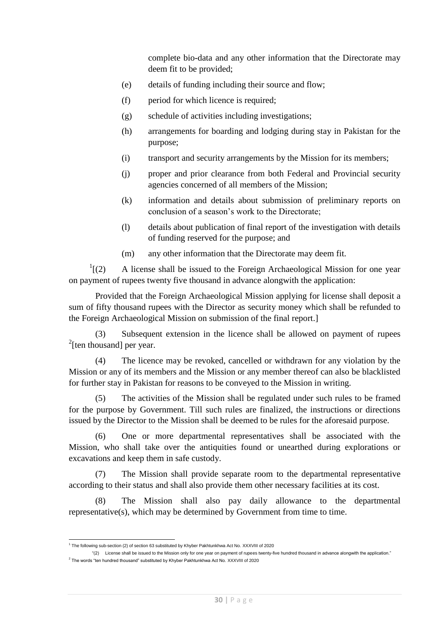complete bio-data and any other information that the Directorate may deem fit to be provided;

- (e) details of funding including their source and flow;
- (f) period for which licence is required;
- (g) schedule of activities including investigations;
- (h) arrangements for boarding and lodging during stay in Pakistan for the purpose;
- (i) transport and security arrangements by the Mission for its members;
- (j) proper and prior clearance from both Federal and Provincial security agencies concerned of all members of the Mission;
- (k) information and details about submission of preliminary reports on conclusion of a season's work to the Directorate;
- (l) details about publication of final report of the investigation with details of funding reserved for the purpose; and
- (m) any other information that the Directorate may deem fit.

 $^{1}$ [(2) A license shall be issued to the Foreign Archaeological Mission for one year on payment of rupees twenty five thousand in advance alongwith the application:

Provided that the Foreign Archaeological Mission applying for license shall deposit a sum of fifty thousand rupees with the Director as security money which shall be refunded to the Foreign Archaeological Mission on submission of the final report.]

(3) Subsequent extension in the licence shall be allowed on payment of rupees  $2$ [ten thousand] per year.

(4) The licence may be revoked, cancelled or withdrawn for any violation by the Mission or any of its members and the Mission or any member thereof can also be blacklisted for further stay in Pakistan for reasons to be conveyed to the Mission in writing.

(5) The activities of the Mission shall be regulated under such rules to be framed for the purpose by Government. Till such rules are finalized, the instructions or directions issued by the Director to the Mission shall be deemed to be rules for the aforesaid purpose.

(6) One or more departmental representatives shall be associated with the Mission, who shall take over the antiquities found or unearthed during explorations or excavations and keep them in safe custody.

(7) The Mission shall provide separate room to the departmental representative according to their status and shall also provide them other necessary facilities at its cost.

(8) The Mission shall also pay daily allowance to the departmental representative(s), which may be determined by Government from time to time.

 $\overline{a}$ 1 The following sub-section (2) of section 63 substituted by Khyber Pakhtunkhwa Act No. XXXVIII of 2020

<sup>&</sup>quot;(2) License shall be issued to the Mission only for one year on payment of rupees twenty-five hundred thousand in advance alongwith the application."  $^2$  The words "ten hundred thousand" substituted by Khyber Pakhtunkhwa Act No. XXXVIII of 2020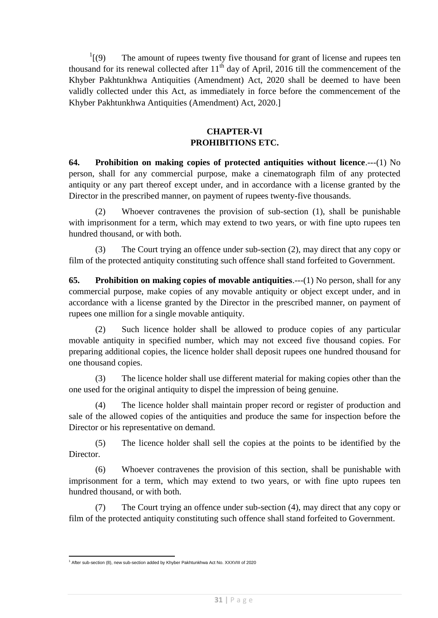$^{1}$ [(9) The amount of rupees twenty five thousand for grant of license and rupees ten thousand for its renewal collected after  $11<sup>th</sup>$  day of April, 2016 till the commencement of the Khyber Pakhtunkhwa Antiquities (Amendment) Act, 2020 shall be deemed to have been validly collected under this Act, as immediately in force before the commencement of the Khyber Pakhtunkhwa Antiquities (Amendment) Act, 2020.]

## **CHAPTER-VI PROHIBITIONS ETC.**

**64. Prohibition on making copies of protected antiquities without licence**.---(1) No person, shall for any commercial purpose, make a cinematograph film of any protected antiquity or any part thereof except under, and in accordance with a license granted by the Director in the prescribed manner, on payment of rupees twenty-five thousands.

(2) Whoever contravenes the provision of sub-section (1), shall be punishable with imprisonment for a term, which may extend to two years, or with fine upto rupees ten hundred thousand, or with both.

(3) The Court trying an offence under sub-section (2), may direct that any copy or film of the protected antiquity constituting such offence shall stand forfeited to Government.

**65. Prohibition on making copies of movable antiquities**.---(1) No person, shall for any commercial purpose, make copies of any movable antiquity or object except under, and in accordance with a license granted by the Director in the prescribed manner, on payment of rupees one million for a single movable antiquity.

(2) Such licence holder shall be allowed to produce copies of any particular movable antiquity in specified number, which may not exceed five thousand copies. For preparing additional copies, the licence holder shall deposit rupees one hundred thousand for one thousand copies.

(3) The licence holder shall use different material for making copies other than the one used for the original antiquity to dispel the impression of being genuine.

(4) The licence holder shall maintain proper record or register of production and sale of the allowed copies of the antiquities and produce the same for inspection before the Director or his representative on demand.

(5) The licence holder shall sell the copies at the points to be identified by the Director.

(6) Whoever contravenes the provision of this section, shall be punishable with imprisonment for a term, which may extend to two years, or with fine upto rupees ten hundred thousand, or with both.

(7) The Court trying an offence under sub-section (4), may direct that any copy or film of the protected antiquity constituting such offence shall stand forfeited to Government.

 $1$  After sub-section (8), new sub-section added by Khyber Pakhtunkhwa Act No. XXXVIII of 2020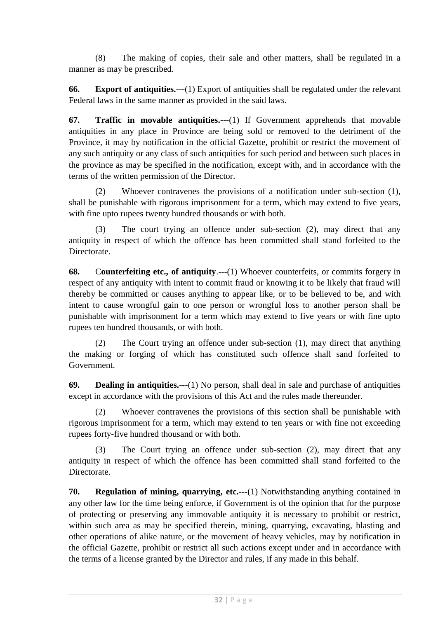(8) The making of copies, their sale and other matters, shall be regulated in a manner as may be prescribed.

**66. Export of antiquities.**---(1) Export of antiquities shall be regulated under the relevant Federal laws in the same manner as provided in the said laws.

**67. Traffic in movable antiquities.**---(1) If Government apprehends that movable antiquities in any place in Province are being sold or removed to the detriment of the Province, it may by notification in the official Gazette, prohibit or restrict the movement of any such antiquity or any class of such antiquities for such period and between such places in the province as may be specified in the notification, except with, and in accordance with the terms of the written permission of the Director.

(2) Whoever contravenes the provisions of a notification under sub-section (1), shall be punishable with rigorous imprisonment for a term, which may extend to five years, with fine upto rupees twenty hundred thousands or with both.

(3) The court trying an offence under sub-section (2), may direct that any antiquity in respect of which the offence has been committed shall stand forfeited to the Directorate.

**68.** C**ounterfeiting etc., of antiquity**.---(1) Whoever counterfeits, or commits forgery in respect of any antiquity with intent to commit fraud or knowing it to be likely that fraud will thereby be committed or causes anything to appear like, or to be believed to be, and with intent to cause wrongful gain to one person or wrongful loss to another person shall be punishable with imprisonment for a term which may extend to five years or with fine upto rupees ten hundred thousands, or with both.

(2) The Court trying an offence under sub-section (1), may direct that anything the making or forging of which has constituted such offence shall sand forfeited to Government.

**69. Dealing in antiquities.**---(1) No person, shall deal in sale and purchase of antiquities except in accordance with the provisions of this Act and the rules made thereunder.

(2) Whoever contravenes the provisions of this section shall be punishable with rigorous imprisonment for a term, which may extend to ten years or with fine not exceeding rupees forty-five hundred thousand or with both.

(3) The Court trying an offence under sub-section (2), may direct that any antiquity in respect of which the offence has been committed shall stand forfeited to the Directorate.

**70. Regulation of mining, quarrying, etc.**---(1) Notwithstanding anything contained in any other law for the time being enforce, if Government is of the opinion that for the purpose of protecting or preserving any immovable antiquity it is necessary to prohibit or restrict, within such area as may be specified therein, mining, quarrying, excavating, blasting and other operations of alike nature, or the movement of heavy vehicles, may by notification in the official Gazette, prohibit or restrict all such actions except under and in accordance with the terms of a license granted by the Director and rules, if any made in this behalf.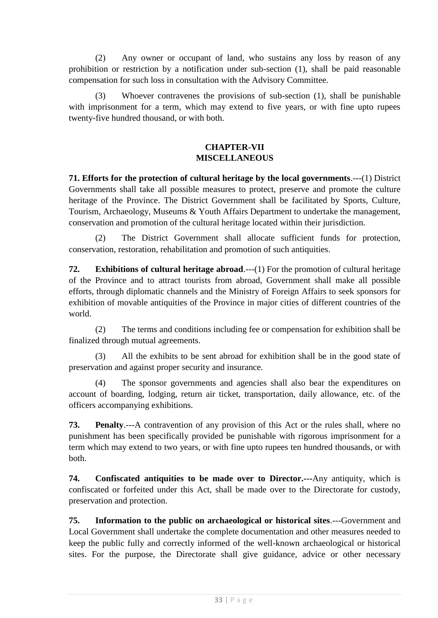(2) Any owner or occupant of land, who sustains any loss by reason of any prohibition or restriction by a notification under sub-section (1), shall be paid reasonable compensation for such loss in consultation with the Advisory Committee.

(3) Whoever contravenes the provisions of sub-section (1), shall be punishable with imprisonment for a term, which may extend to five years, or with fine upto rupees twenty-five hundred thousand, or with both.

### **CHAPTER-VII MISCELLANEOUS**

**71. Efforts for the protection of cultural heritage by the local governments**.---(1) District Governments shall take all possible measures to protect, preserve and promote the culture heritage of the Province. The District Government shall be facilitated by Sports, Culture, Tourism, Archaeology, Museums & Youth Affairs Department to undertake the management, conservation and promotion of the cultural heritage located within their jurisdiction.

(2) The District Government shall allocate sufficient funds for protection, conservation, restoration, rehabilitation and promotion of such antiquities.

**72. Exhibitions of cultural heritage abroad**.---(1) For the promotion of cultural heritage of the Province and to attract tourists from abroad, Government shall make all possible efforts, through diplomatic channels and the Ministry of Foreign Affairs to seek sponsors for exhibition of movable antiquities of the Province in major cities of different countries of the world.

(2) The terms and conditions including fee or compensation for exhibition shall be finalized through mutual agreements.

(3) All the exhibits to be sent abroad for exhibition shall be in the good state of preservation and against proper security and insurance.

(4) The sponsor governments and agencies shall also bear the expenditures on account of boarding, lodging, return air ticket, transportation, daily allowance, etc. of the officers accompanying exhibitions.

**73. Penalty**.---A contravention of any provision of this Act or the rules shall, where no punishment has been specifically provided be punishable with rigorous imprisonment for a term which may extend to two years, or with fine upto rupees ten hundred thousands, or with both.

**74. Confiscated antiquities to be made over to Director.---**Any antiquity, which is confiscated or forfeited under this Act, shall be made over to the Directorate for custody, preservation and protection.

**75. Information to the public on archaeological or historical sites**.---Government and Local Government shall undertake the complete documentation and other measures needed to keep the public fully and correctly informed of the well-known archaeological or historical sites. For the purpose, the Directorate shall give guidance, advice or other necessary